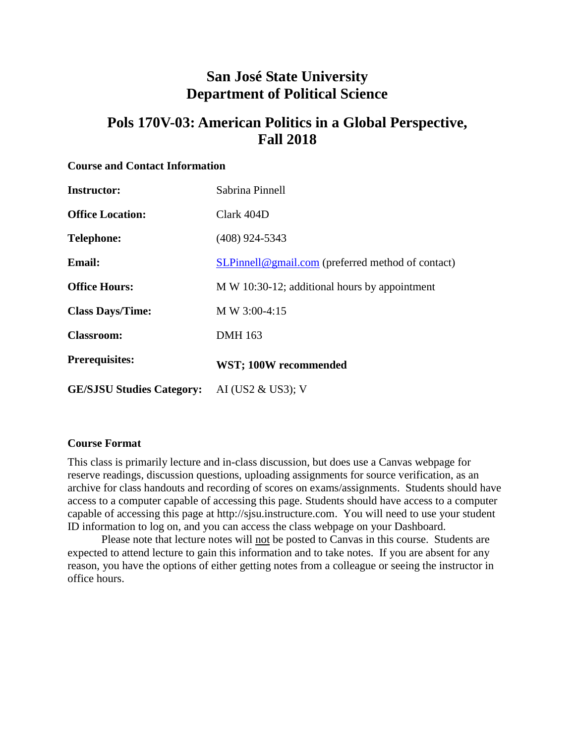# **San José State University Department of Political Science**

# **Pols 170V-03: American Politics in a Global Perspective, Fall 2018**

#### **Course and Contact Information**

| <b>Instructor:</b>               | Sabrina Pinnell                                   |
|----------------------------------|---------------------------------------------------|
| <b>Office Location:</b>          | Clark 404D                                        |
| <b>Telephone:</b>                | $(408)$ 924-5343                                  |
| <b>Email:</b>                    | SLPinnell@gmail.com (preferred method of contact) |
| <b>Office Hours:</b>             | M W 10:30-12; additional hours by appointment     |
| <b>Class Days/Time:</b>          | M W 3:00-4:15                                     |
| <b>Classroom:</b>                | <b>DMH</b> 163                                    |
| <b>Prerequisites:</b>            | WST; 100W recommended                             |
| <b>GE/SJSU Studies Category:</b> | AI (US2 $\&$ US3); V                              |

## **Course Format**

This class is primarily lecture and in-class discussion, but does use a Canvas webpage for reserve readings, discussion questions, uploading assignments for source verification, as an archive for class handouts and recording of scores on exams/assignments. Students should have access to a computer capable of accessing this page. Students should have access to a computer capable of accessing this page at http://sjsu.instructure.com. You will need to use your student ID information to log on, and you can access the class webpage on your Dashboard.

Please note that lecture notes will not be posted to Canvas in this course. Students are expected to attend lecture to gain this information and to take notes. If you are absent for any reason, you have the options of either getting notes from a colleague or seeing the instructor in office hours.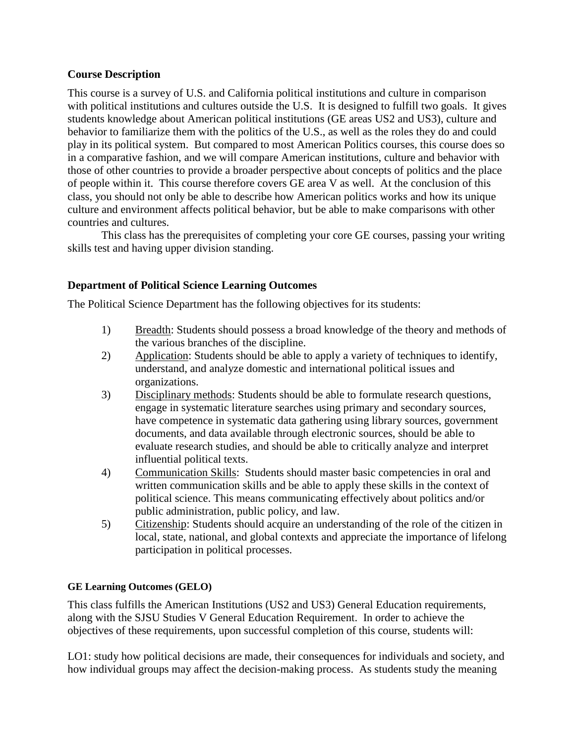## **Course Description**

This course is a survey of U.S. and California political institutions and culture in comparison with political institutions and cultures outside the U.S. It is designed to fulfill two goals. It gives students knowledge about American political institutions (GE areas US2 and US3), culture and behavior to familiarize them with the politics of the U.S., as well as the roles they do and could play in its political system. But compared to most American Politics courses, this course does so in a comparative fashion, and we will compare American institutions, culture and behavior with those of other countries to provide a broader perspective about concepts of politics and the place of people within it. This course therefore covers GE area V as well. At the conclusion of this class, you should not only be able to describe how American politics works and how its unique culture and environment affects political behavior, but be able to make comparisons with other countries and cultures.

This class has the prerequisites of completing your core GE courses, passing your writing skills test and having upper division standing.

## **Department of Political Science Learning Outcomes**

The Political Science Department has the following objectives for its students:

- 1) Breadth: Students should possess a broad knowledge of the theory and methods of the various branches of the discipline.
- 2) Application: Students should be able to apply a variety of techniques to identify, understand, and analyze domestic and international political issues and organizations.
- 3) Disciplinary methods: Students should be able to formulate research questions, engage in systematic literature searches using primary and secondary sources, have competence in systematic data gathering using library sources, government documents, and data available through electronic sources, should be able to evaluate research studies, and should be able to critically analyze and interpret influential political texts.
- 4) Communication Skills: Students should master basic competencies in oral and written communication skills and be able to apply these skills in the context of political science. This means communicating effectively about politics and/or public administration, public policy, and law.
- 5) Citizenship: Students should acquire an understanding of the role of the citizen in local, state, national, and global contexts and appreciate the importance of lifelong participation in political processes.

## **GE Learning Outcomes (GELO)**

This class fulfills the American Institutions (US2 and US3) General Education requirements, along with the SJSU Studies V General Education Requirement. In order to achieve the objectives of these requirements, upon successful completion of this course, students will:

LO1: study how political decisions are made, their consequences for individuals and society, and how individual groups may affect the decision-making process. As students study the meaning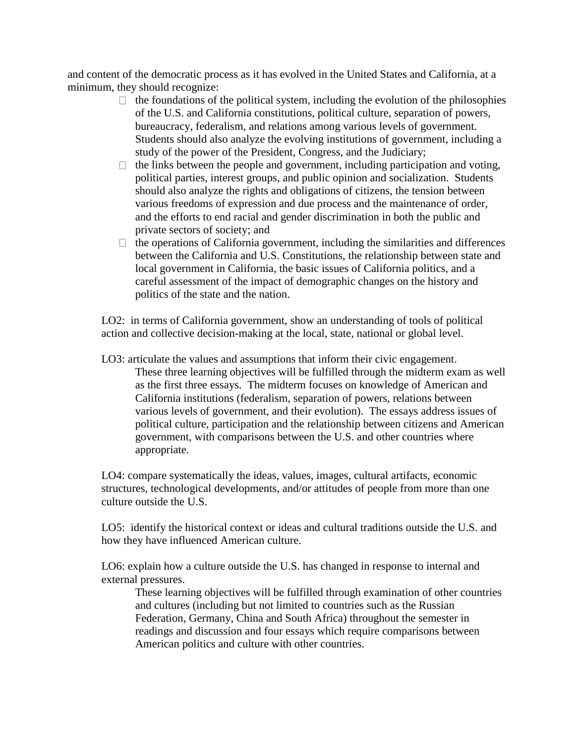and content of the democratic process as it has evolved in the United States and California, at a minimum, they should recognize:

- $\Box$  the foundations of the political system, including the evolution of the philosophies of the U.S. and California constitutions, political culture, separation of powers, bureaucracy, federalism, and relations among various levels of government. Students should also analyze the evolving institutions of government, including a study of the power of the President, Congress, and the Judiciary;
- $\Box$  the links between the people and government, including participation and voting, political parties, interest groups, and public opinion and socialization. Students should also analyze the rights and obligations of citizens, the tension between various freedoms of expression and due process and the maintenance of order, and the efforts to end racial and gender discrimination in both the public and private sectors of society; and
- $\Box$  the operations of California government, including the similarities and differences between the California and U.S. Constitutions, the relationship between state and local government in California, the basic issues of California politics, and a careful assessment of the impact of demographic changes on the history and politics of the state and the nation.

LO2: in terms of California government, show an understanding of tools of political action and collective decision-making at the local, state, national or global level.

LO3: articulate the values and assumptions that inform their civic engagement. These three learning objectives will be fulfilled through the midterm exam as well as the first three essays. The midterm focuses on knowledge of American and California institutions (federalism, separation of powers, relations between various levels of government, and their evolution). The essays address issues of political culture, participation and the relationship between citizens and American government, with comparisons between the U.S. and other countries where appropriate.

LO4: compare systematically the ideas, values, images, cultural artifacts, economic structures, technological developments, and/or attitudes of people from more than one culture outside the U.S.

LO5: identify the historical context or ideas and cultural traditions outside the U.S. and how they have influenced American culture.

LO6: explain how a culture outside the U.S. has changed in response to internal and external pressures.

These learning objectives will be fulfilled through examination of other countries and cultures (including but not limited to countries such as the Russian Federation, Germany, China and South Africa) throughout the semester in readings and discussion and four essays which require comparisons between American politics and culture with other countries.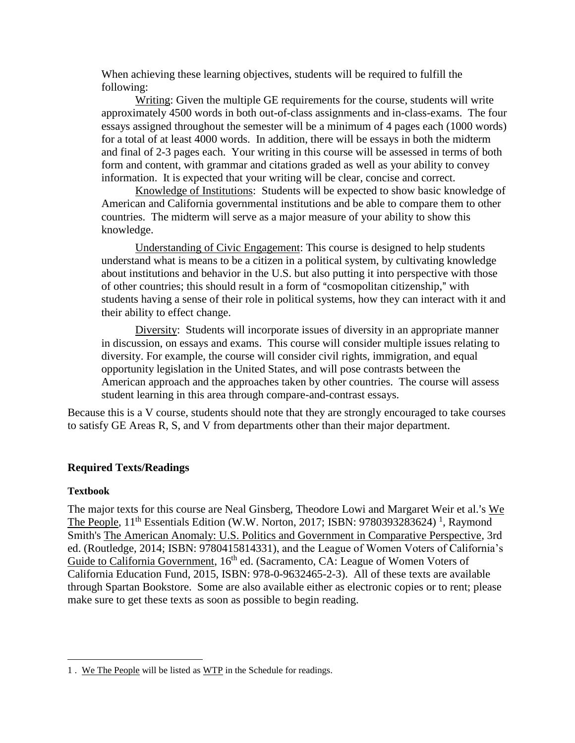When achieving these learning objectives, students will be required to fulfill the following:

Writing: Given the multiple GE requirements for the course, students will write approximately 4500 words in both out-of-class assignments and in-class-exams. The four essays assigned throughout the semester will be a minimum of 4 pages each (1000 words) for a total of at least 4000 words. In addition, there will be essays in both the midterm and final of 2-3 pages each. Your writing in this course will be assessed in terms of both form and content, with grammar and citations graded as well as your ability to convey information. It is expected that your writing will be clear, concise and correct.

Knowledge of Institutions: Students will be expected to show basic knowledge of American and California governmental institutions and be able to compare them to other countries. The midterm will serve as a major measure of your ability to show this knowledge.

Understanding of Civic Engagement: This course is designed to help students understand what is means to be a citizen in a political system, by cultivating knowledge about institutions and behavior in the U.S. but also putting it into perspective with those of other countries; this should result in a form of "cosmopolitan citizenship," with students having a sense of their role in political systems, how they can interact with it and their ability to effect change.

Diversity: Students will incorporate issues of diversity in an appropriate manner in discussion, on essays and exams. This course will consider multiple issues relating to diversity. For example, the course will consider civil rights, immigration, and equal opportunity legislation in the United States, and will pose contrasts between the American approach and the approaches taken by other countries. The course will assess student learning in this area through compare-and-contrast essays.

Because this is a V course, students should note that they are strongly encouraged to take courses to satisfy GE Areas R, S, and V from departments other than their major department.

## **Required Texts/Readings**

## **Textbook**

 $\overline{a}$ 

The major texts for this course are Neal Ginsberg, Theodore Lowi and Margaret Weir et al.'s We The People, 11<sup>th</sup> Essentials Edition (W.W. Norton, 2017; ISBN: 9780393283624)<sup>1</sup>, Raymond Smith's The American Anomaly: U.S. Politics and Government in Comparative Perspective, 3rd ed. (Routledge, 2014; ISBN: 9780415814331), and the League of Women Voters of California's Guide to California Government, 16<sup>th</sup> ed. (Sacramento, CA: League of Women Voters of California Education Fund, 2015, ISBN: 978-0-9632465-2-3). All of these texts are available through Spartan Bookstore. Some are also available either as electronic copies or to rent; please make sure to get these texts as soon as possible to begin reading.

<sup>1</sup> . We The People will be listed as WTP in the Schedule for readings.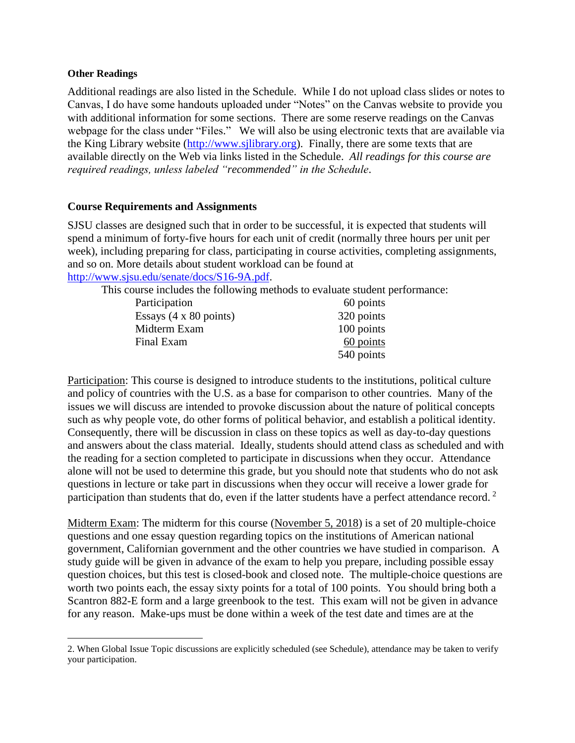#### **Other Readings**

 $\overline{a}$ 

Additional readings are also listed in the Schedule. While I do not upload class slides or notes to Canvas, I do have some handouts uploaded under "Notes" on the Canvas website to provide you with additional information for some sections. There are some reserve readings on the Canvas webpage for the class under "Files." We will also be using electronic texts that are available via the King Library website [\(http://www.sjlibrary.org\)](http://www.sjlibrary.org/). Finally, there are some texts that are available directly on the Web via links listed in the Schedule. *All readings for this course are required readings, unless labeled "recommended" in the Schedule*.

## **Course Requirements and Assignments**

SJSU classes are designed such that in order to be successful, it is expected that students will spend a minimum of forty-five hours for each unit of credit (normally three hours per unit per week), including preparing for class, participating in course activities, completing assignments, and so on. More details about student workload can be found at [http://www.sjsu.edu/senate/docs/S16-9A.pdf.](http://www.sjsu.edu/senate/docs/S16-9A.pdf)

This course includes the following methods to evaluate student performance:

| Participation                         | 60 points  |
|---------------------------------------|------------|
| Essays $(4 \times 80 \text{ points})$ | 320 points |
| Midterm Exam                          | 100 points |
| Final Exam                            | 60 points  |
|                                       | 540 points |

Participation: This course is designed to introduce students to the institutions, political culture and policy of countries with the U.S. as a base for comparison to other countries. Many of the issues we will discuss are intended to provoke discussion about the nature of political concepts such as why people vote, do other forms of political behavior, and establish a political identity. Consequently, there will be discussion in class on these topics as well as day-to-day questions and answers about the class material. Ideally, students should attend class as scheduled and with the reading for a section completed to participate in discussions when they occur. Attendance alone will not be used to determine this grade, but you should note that students who do not ask questions in lecture or take part in discussions when they occur will receive a lower grade for participation than students that do, even if the latter students have a perfect attendance record.  $2$ 

Midterm Exam: The midterm for this course (November 5, 2018) is a set of 20 multiple-choice questions and one essay question regarding topics on the institutions of American national government, Californian government and the other countries we have studied in comparison. A study guide will be given in advance of the exam to help you prepare, including possible essay question choices, but this test is closed-book and closed note. The multiple-choice questions are worth two points each, the essay sixty points for a total of 100 points. You should bring both a Scantron 882-E form and a large greenbook to the test. This exam will not be given in advance for any reason. Make-ups must be done within a week of the test date and times are at the

<sup>2.</sup> When Global Issue Topic discussions are explicitly scheduled (see Schedule), attendance may be taken to verify your participation.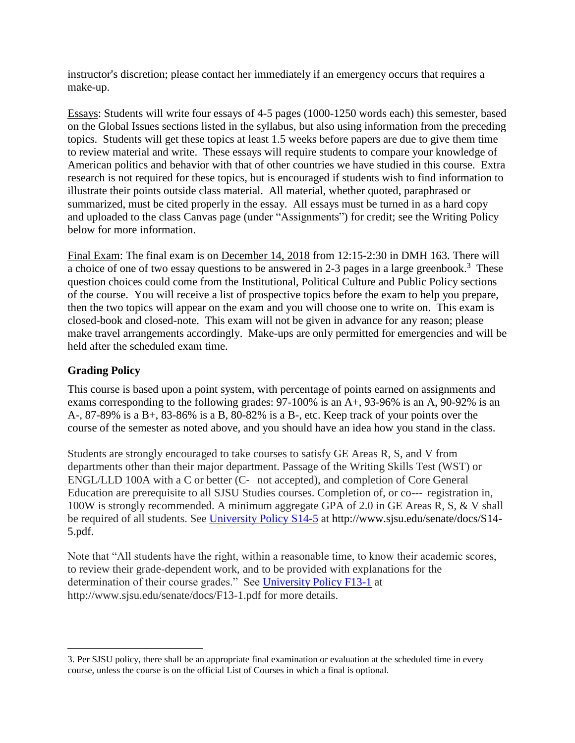instructor's discretion; please contact her immediately if an emergency occurs that requires a make-up.

Essays: Students will write four essays of 4-5 pages (1000-1250 words each) this semester, based on the Global Issues sections listed in the syllabus, but also using information from the preceding topics. Students will get these topics at least 1.5 weeks before papers are due to give them time to review material and write. These essays will require students to compare your knowledge of American politics and behavior with that of other countries we have studied in this course. Extra research is not required for these topics, but is encouraged if students wish to find information to illustrate their points outside class material. All material, whether quoted, paraphrased or summarized, must be cited properly in the essay. All essays must be turned in as a hard copy and uploaded to the class Canvas page (under "Assignments") for credit; see the Writing Policy below for more information.

Final Exam: The final exam is on December 14, 2018 from 12:15-2:30 in DMH 163. There will a choice of one of two essay questions to be answered in 2-3 pages in a large greenbook.<sup>3</sup> These question choices could come from the Institutional, Political Culture and Public Policy sections of the course. You will receive a list of prospective topics before the exam to help you prepare, then the two topics will appear on the exam and you will choose one to write on. This exam is closed-book and closed-note. This exam will not be given in advance for any reason; please make travel arrangements accordingly. Make-ups are only permitted for emergencies and will be held after the scheduled exam time.

## **Grading Policy**

 $\overline{a}$ 

This course is based upon a point system, with percentage of points earned on assignments and exams corresponding to the following grades: 97-100% is an A+, 93-96% is an A, 90-92% is an A-, 87-89% is a B+, 83-86% is a B, 80-82% is a B-, etc. Keep track of your points over the course of the semester as noted above, and you should have an idea how you stand in the class.

Students are strongly encouraged to take courses to satisfy GE Areas R, S, and V from departments other than their major department. Passage of the Writing Skills Test (WST) or ENGL/LLD 100A with a C or better (C‐ not accepted), and completion of Core General Education are prerequisite to all SJSU Studies courses. Completion of, or co--‐ registration in, 100W is strongly recommended. A minimum aggregate GPA of 2.0 in GE Areas R, S, & V shall be required of all students. See [University Policy](http://www.sjsu.edu/senate/docs/S14-5.pdf) S14-5 at http://www.sjsu.edu/senate/docs/S14- 5.pdf.

Note that "All students have the right, within a reasonable time, to know their academic scores, to review their grade-dependent work, and to be provided with explanations for the determination of their course grades." See [University Policy F13-1](http://www.sjsu.edu/senate/docs/F13-1.pdf) at http://www.sjsu.edu/senate/docs/F13-1.pdf for more details.

<sup>3.</sup> Per SJSU policy, there shall be an appropriate final examination or evaluation at the scheduled time in every course, unless the course is on the official List of Courses in which a final is optional.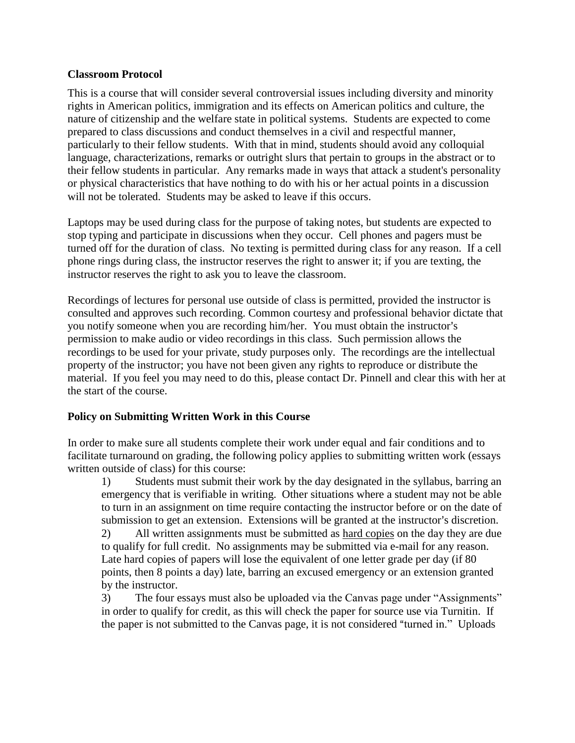## **Classroom Protocol**

This is a course that will consider several controversial issues including diversity and minority rights in American politics, immigration and its effects on American politics and culture, the nature of citizenship and the welfare state in political systems. Students are expected to come prepared to class discussions and conduct themselves in a civil and respectful manner, particularly to their fellow students. With that in mind, students should avoid any colloquial language, characterizations, remarks or outright slurs that pertain to groups in the abstract or to their fellow students in particular. Any remarks made in ways that attack a student's personality or physical characteristics that have nothing to do with his or her actual points in a discussion will not be tolerated. Students may be asked to leave if this occurs.

Laptops may be used during class for the purpose of taking notes, but students are expected to stop typing and participate in discussions when they occur. Cell phones and pagers must be turned off for the duration of class. No texting is permitted during class for any reason. If a cell phone rings during class, the instructor reserves the right to answer it; if you are texting, the instructor reserves the right to ask you to leave the classroom.

Recordings of lectures for personal use outside of class is permitted, provided the instructor is consulted and approves such recording. Common courtesy and professional behavior dictate that you notify someone when you are recording him/her. You must obtain the instructor's permission to make audio or video recordings in this class. Such permission allows the recordings to be used for your private, study purposes only. The recordings are the intellectual property of the instructor; you have not been given any rights to reproduce or distribute the material. If you feel you may need to do this, please contact Dr. Pinnell and clear this with her at the start of the course.

## **Policy on Submitting Written Work in this Course**

In order to make sure all students complete their work under equal and fair conditions and to facilitate turnaround on grading, the following policy applies to submitting written work (essays written outside of class) for this course:

1) Students must submit their work by the day designated in the syllabus, barring an emergency that is verifiable in writing. Other situations where a student may not be able to turn in an assignment on time require contacting the instructor before or on the date of submission to get an extension. Extensions will be granted at the instructor's discretion.

2) All written assignments must be submitted as hard copies on the day they are due to qualify for full credit. No assignments may be submitted via e-mail for any reason. Late hard copies of papers will lose the equivalent of one letter grade per day (if 80 points, then 8 points a day) late, barring an excused emergency or an extension granted by the instructor.

3) The four essays must also be uploaded via the Canvas page under "Assignments" in order to qualify for credit, as this will check the paper for source use via Turnitin. If the paper is not submitted to the Canvas page, it is not considered "turned in." Uploads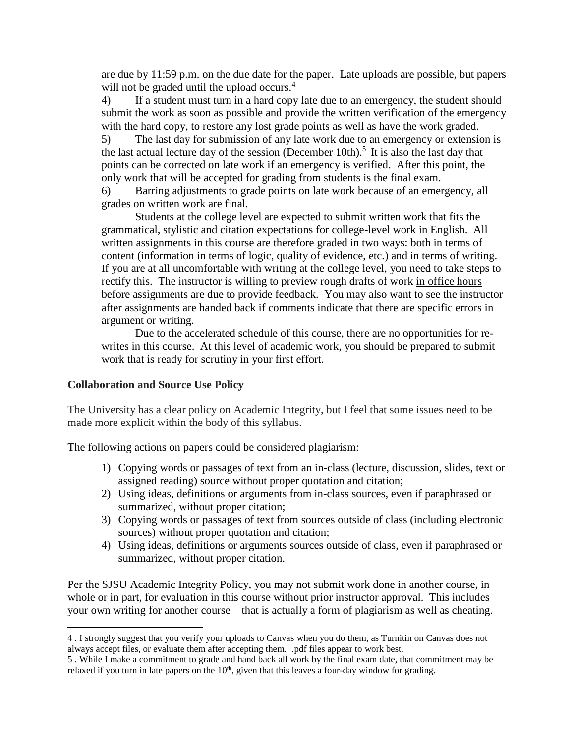are due by 11:59 p.m. on the due date for the paper. Late uploads are possible, but papers will not be graded until the upload occurs.<sup>4</sup>

4) If a student must turn in a hard copy late due to an emergency, the student should submit the work as soon as possible and provide the written verification of the emergency with the hard copy, to restore any lost grade points as well as have the work graded.

5) The last day for submission of any late work due to an emergency or extension is the last actual lecture day of the session (December 10th).<sup>5</sup> It is also the last day that points can be corrected on late work if an emergency is verified. After this point, the only work that will be accepted for grading from students is the final exam.

6) Barring adjustments to grade points on late work because of an emergency, all grades on written work are final.

Students at the college level are expected to submit written work that fits the grammatical, stylistic and citation expectations for college-level work in English. All written assignments in this course are therefore graded in two ways: both in terms of content (information in terms of logic, quality of evidence, etc.) and in terms of writing. If you are at all uncomfortable with writing at the college level, you need to take steps to rectify this. The instructor is willing to preview rough drafts of work in office hours before assignments are due to provide feedback. You may also want to see the instructor after assignments are handed back if comments indicate that there are specific errors in argument or writing.

Due to the accelerated schedule of this course, there are no opportunities for rewrites in this course. At this level of academic work, you should be prepared to submit work that is ready for scrutiny in your first effort.

## **Collaboration and Source Use Policy**

 $\overline{a}$ 

The University has a clear policy on Academic Integrity, but I feel that some issues need to be made more explicit within the body of this syllabus.

The following actions on papers could be considered plagiarism:

- 1) Copying words or passages of text from an in-class (lecture, discussion, slides, text or assigned reading) source without proper quotation and citation;
- 2) Using ideas, definitions or arguments from in-class sources, even if paraphrased or summarized, without proper citation;
- 3) Copying words or passages of text from sources outside of class (including electronic sources) without proper quotation and citation;
- 4) Using ideas, definitions or arguments sources outside of class, even if paraphrased or summarized, without proper citation.

Per the SJSU Academic Integrity Policy, you may not submit work done in another course, in whole or in part, for evaluation in this course without prior instructor approval. This includes your own writing for another course – that is actually a form of plagiarism as well as cheating.

<sup>4</sup> . I strongly suggest that you verify your uploads to Canvas when you do them, as Turnitin on Canvas does not always accept files, or evaluate them after accepting them. .pdf files appear to work best.

<sup>5</sup> . While I make a commitment to grade and hand back all work by the final exam date, that commitment may be relaxed if you turn in late papers on the  $10<sup>th</sup>$ , given that this leaves a four-day window for grading.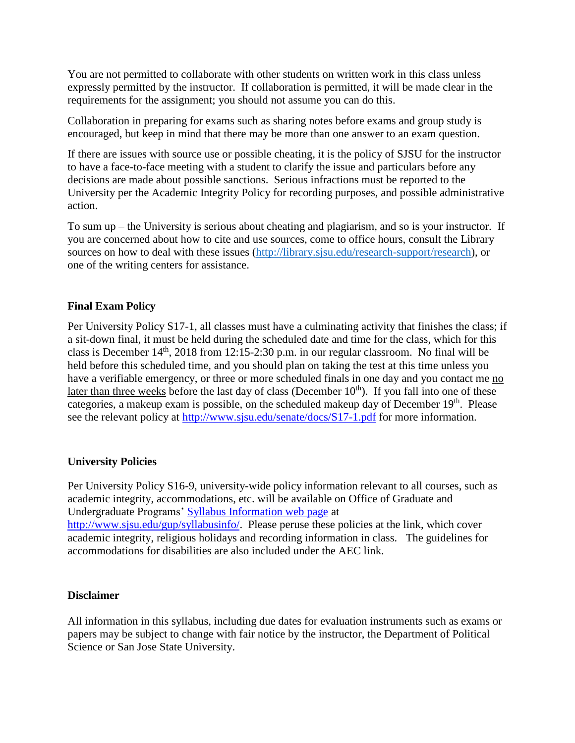You are not permitted to collaborate with other students on written work in this class unless expressly permitted by the instructor. If collaboration is permitted, it will be made clear in the requirements for the assignment; you should not assume you can do this.

Collaboration in preparing for exams such as sharing notes before exams and group study is encouraged, but keep in mind that there may be more than one answer to an exam question.

If there are issues with source use or possible cheating, it is the policy of SJSU for the instructor to have a face-to-face meeting with a student to clarify the issue and particulars before any decisions are made about possible sanctions. Serious infractions must be reported to the University per the Academic Integrity Policy for recording purposes, and possible administrative action.

To sum up – the University is serious about cheating and plagiarism, and so is your instructor. If you are concerned about how to cite and use sources, come to office hours, consult the Library sources on how to deal with these issues [\(http://library.sjsu.edu/research-support/research\)](http://library.sjsu.edu/research-support/research), or one of the writing centers for assistance.

## **Final Exam Policy**

Per University Policy S17-1, all classes must have a culminating activity that finishes the class; if a sit-down final, it must be held during the scheduled date and time for the class, which for this class is December  $14<sup>th</sup>$ , 2018 from 12:15-2:30 p.m. in our regular classroom. No final will be held before this scheduled time, and you should plan on taking the test at this time unless you have a verifiable emergency, or three or more scheduled finals in one day and you contact me no later than three weeks before the last day of class (December  $10<sup>th</sup>$ ). If you fall into one of these categories, a makeup exam is possible, on the scheduled makeup day of December 19<sup>th</sup>. Please see the relevant policy at<http://www.sjsu.edu/senate/docs/S17-1.pdf> for more information.

## **University Policies**

Per University Policy S16-9, university-wide policy information relevant to all courses, such as academic integrity, accommodations, etc. will be available on Office of Graduate and Undergraduate Programs' [Syllabus Information web page](http://www.sjsu.edu/gup/syllabusinfo/) at [http://www.sjsu.edu/gup/syllabusinfo/.](http://www.sjsu.edu/gup/syllabusinfo/) Please peruse these policies at the link, which cover academic integrity, religious holidays and recording information in class. The guidelines for accommodations for disabilities are also included under the AEC link.

## **Disclaimer**

All information in this syllabus, including due dates for evaluation instruments such as exams or papers may be subject to change with fair notice by the instructor, the Department of Political Science or San Jose State University.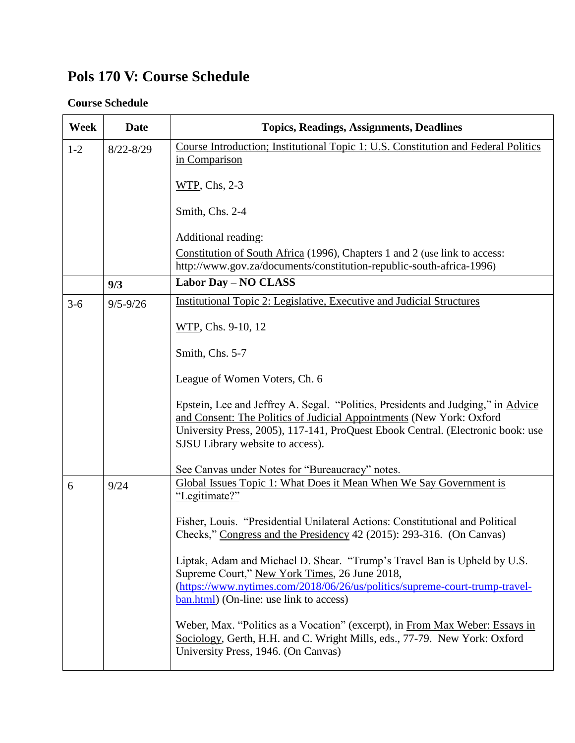# **Pols 170 V: Course Schedule**

## **Course Schedule**

| Week    | <b>Date</b>   | <b>Topics, Readings, Assignments, Deadlines</b>                                                                                                                                                                                                                                     |
|---------|---------------|-------------------------------------------------------------------------------------------------------------------------------------------------------------------------------------------------------------------------------------------------------------------------------------|
| $1-2$   | $8/22 - 8/29$ | Course Introduction; Institutional Topic 1: U.S. Constitution and Federal Politics<br>in Comparison                                                                                                                                                                                 |
|         |               | WTP, Chs, 2-3                                                                                                                                                                                                                                                                       |
|         |               | Smith, Chs. 2-4                                                                                                                                                                                                                                                                     |
|         |               | Additional reading:                                                                                                                                                                                                                                                                 |
|         |               | Constitution of South Africa (1996), Chapters 1 and 2 (use link to access:<br>http://www.gov.za/documents/constitution-republic-south-africa-1996)                                                                                                                                  |
|         | 9/3           | <b>Labor Day - NO CLASS</b>                                                                                                                                                                                                                                                         |
| $3 - 6$ | $9/5 - 9/26$  | <b>Institutional Topic 2: Legislative, Executive and Judicial Structures</b>                                                                                                                                                                                                        |
|         |               | WTP, Chs. 9-10, 12                                                                                                                                                                                                                                                                  |
|         |               | Smith, Chs. 5-7                                                                                                                                                                                                                                                                     |
|         |               | League of Women Voters, Ch. 6                                                                                                                                                                                                                                                       |
|         |               | Epstein, Lee and Jeffrey A. Segal. "Politics, Presidents and Judging," in Advice<br>and Consent: The Politics of Judicial Appointments (New York: Oxford<br>University Press, 2005), 117-141, ProQuest Ebook Central. (Electronic book: use<br>SJSU Library website to access).     |
|         |               | See Canvas under Notes for "Bureaucracy" notes.                                                                                                                                                                                                                                     |
| 6       | 9/24          | Global Issues Topic 1: What Does it Mean When We Say Government is<br>"Legitimate?"                                                                                                                                                                                                 |
|         |               | Fisher, Louis. "Presidential Unilateral Actions: Constitutional and Political<br>Checks," Congress and the Presidency 42 (2015): 293-316. (On Canvas)                                                                                                                               |
|         |               | Liptak, Adam and Michael D. Shear. "Trump's Travel Ban is Upheld by U.S.<br>Supreme Court," New York Times, 26 June 2018,<br>(https://www.nytimes.com/2018/06/26/us/politics/supreme-court-trump-travel-<br>$\frac{\text{ban.html}}{\text{bin.html}}$ (On-line: use link to access) |
|         |               | Weber, Max. "Politics as a Vocation" (excerpt), in From Max Weber: Essays in<br>Sociology, Gerth, H.H. and C. Wright Mills, eds., 77-79. New York: Oxford<br>University Press, 1946. (On Canvas)                                                                                    |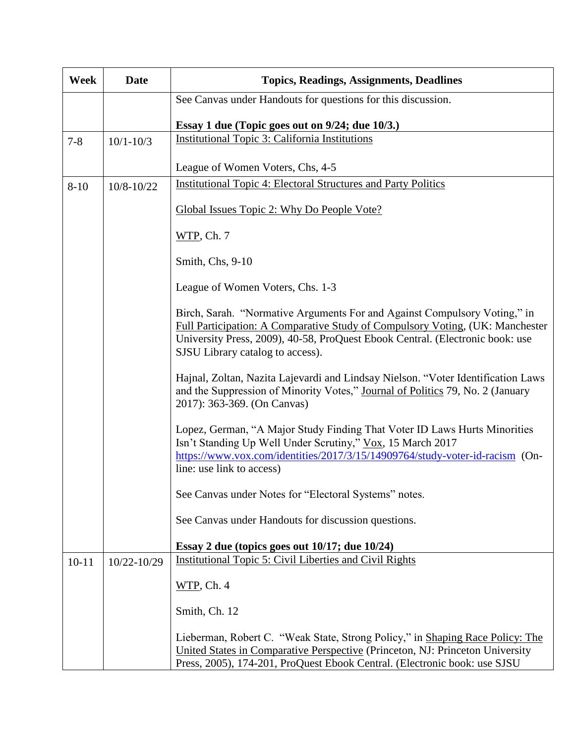| Week      | <b>Date</b>   | <b>Topics, Readings, Assignments, Deadlines</b>                                                                                                                                                                                                                                 |
|-----------|---------------|---------------------------------------------------------------------------------------------------------------------------------------------------------------------------------------------------------------------------------------------------------------------------------|
|           |               | See Canvas under Handouts for questions for this discussion.                                                                                                                                                                                                                    |
|           |               | Essay 1 due (Topic goes out on 9/24; due 10/3.)                                                                                                                                                                                                                                 |
| $7 - 8$   | $10/1 - 10/3$ | <b>Institutional Topic 3: California Institutions</b>                                                                                                                                                                                                                           |
|           |               | League of Women Voters, Chs, 4-5                                                                                                                                                                                                                                                |
| $8 - 10$  | 10/8-10/22    | <b>Institutional Topic 4: Electoral Structures and Party Politics</b>                                                                                                                                                                                                           |
|           |               | Global Issues Topic 2: Why Do People Vote?                                                                                                                                                                                                                                      |
|           |               | $WTP$ , Ch. 7                                                                                                                                                                                                                                                                   |
|           |               | Smith, Chs, 9-10                                                                                                                                                                                                                                                                |
|           |               | League of Women Voters, Chs. 1-3                                                                                                                                                                                                                                                |
|           |               | Birch, Sarah. "Normative Arguments For and Against Compulsory Voting," in<br>Full Participation: A Comparative Study of Compulsory Voting, (UK: Manchester<br>University Press, 2009), 40-58, ProQuest Ebook Central. (Electronic book: use<br>SJSU Library catalog to access). |
|           |               | Hajnal, Zoltan, Nazita Lajevardi and Lindsay Nielson. "Voter Identification Laws<br>and the Suppression of Minority Votes," Journal of Politics 79, No. 2 (January<br>2017): 363-369. (On Canvas)                                                                               |
|           |               | Lopez, German, "A Major Study Finding That Voter ID Laws Hurts Minorities<br>Isn't Standing Up Well Under Scrutiny," Vox, 15 March 2017<br>https://www.vox.com/identities/2017/3/15/14909764/study-voter-id-racism (On-<br>line: use link to access)                            |
|           |               | See Canvas under Notes for "Electoral Systems" notes.                                                                                                                                                                                                                           |
|           |               | See Canvas under Handouts for discussion questions.                                                                                                                                                                                                                             |
|           |               | Essay 2 due (topics goes out $10/17$ ; due $10/24$ )                                                                                                                                                                                                                            |
| $10 - 11$ | 10/22-10/29   | Institutional Topic 5: Civil Liberties and Civil Rights                                                                                                                                                                                                                         |
|           |               | $WTP$ , Ch. 4                                                                                                                                                                                                                                                                   |
|           |               | Smith, Ch. 12                                                                                                                                                                                                                                                                   |
|           |               | Lieberman, Robert C. "Weak State, Strong Policy," in Shaping Race Policy: The<br>United States in Comparative Perspective (Princeton, NJ: Princeton University<br>Press, 2005), 174-201, ProQuest Ebook Central. (Electronic book: use SJSU                                     |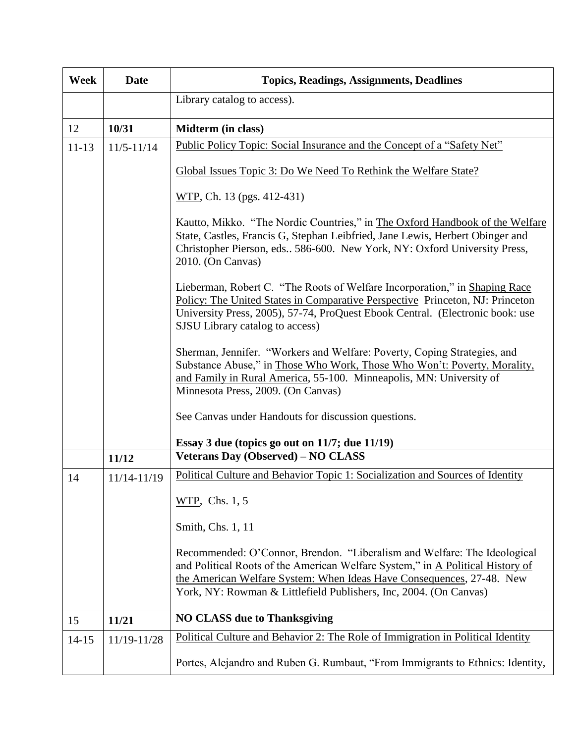| Week      | <b>Date</b>    | <b>Topics, Readings, Assignments, Deadlines</b>                                                                                                                                                                                                                                                          |
|-----------|----------------|----------------------------------------------------------------------------------------------------------------------------------------------------------------------------------------------------------------------------------------------------------------------------------------------------------|
|           |                | Library catalog to access).                                                                                                                                                                                                                                                                              |
| 12        | 10/31          | Midterm (in class)                                                                                                                                                                                                                                                                                       |
| $11 - 13$ | $11/5 - 11/14$ | Public Policy Topic: Social Insurance and the Concept of a "Safety Net"                                                                                                                                                                                                                                  |
|           |                | Global Issues Topic 3: Do We Need To Rethink the Welfare State?                                                                                                                                                                                                                                          |
|           |                | WTP, Ch. 13 (pgs. 412-431)                                                                                                                                                                                                                                                                               |
|           |                | Kautto, Mikko. "The Nordic Countries," in The Oxford Handbook of the Welfare<br>State, Castles, Francis G, Stephan Leibfried, Jane Lewis, Herbert Obinger and<br>Christopher Pierson, eds., 586-600. New York, NY: Oxford University Press,<br>2010. (On Canvas)                                         |
|           |                | Lieberman, Robert C. "The Roots of Welfare Incorporation," in Shaping Race<br>Policy: The United States in Comparative Perspective Princeton, NJ: Princeton<br>University Press, 2005), 57-74, ProQuest Ebook Central. (Electronic book: use<br>SJSU Library catalog to access)                          |
|           |                | Sherman, Jennifer. "Workers and Welfare: Poverty, Coping Strategies, and<br>Substance Abuse," in Those Who Work, Those Who Won't: Poverty, Morality,<br>and Family in Rural America, 55-100. Minneapolis, MN: University of<br>Minnesota Press, 2009. (On Canvas)                                        |
|           |                | See Canvas under Handouts for discussion questions.                                                                                                                                                                                                                                                      |
|           |                | Essay 3 due (topics go out on 11/7; due 11/19)                                                                                                                                                                                                                                                           |
|           | 11/12          | <b>Veterans Day (Observed) - NO CLASS</b>                                                                                                                                                                                                                                                                |
| 14        | 11/14-11/19    | Political Culture and Behavior Topic 1: Socialization and Sources of Identity                                                                                                                                                                                                                            |
|           |                | WTP, Chs. 1, 5                                                                                                                                                                                                                                                                                           |
|           |                | Smith, Chs. 1, 11                                                                                                                                                                                                                                                                                        |
|           |                | Recommended: O'Connor, Brendon. "Liberalism and Welfare: The Ideological<br>and Political Roots of the American Welfare System," in A Political History of<br>the American Welfare System: When Ideas Have Consequences, 27-48. New<br>York, NY: Rowman & Littlefield Publishers, Inc, 2004. (On Canvas) |
| 15        | 11/21          | <b>NO CLASS due to Thanksgiving</b>                                                                                                                                                                                                                                                                      |
| $14 - 15$ | 11/19-11/28    | Political Culture and Behavior 2: The Role of Immigration in Political Identity                                                                                                                                                                                                                          |
|           |                | Portes, Alejandro and Ruben G. Rumbaut, "From Immigrants to Ethnics: Identity,                                                                                                                                                                                                                           |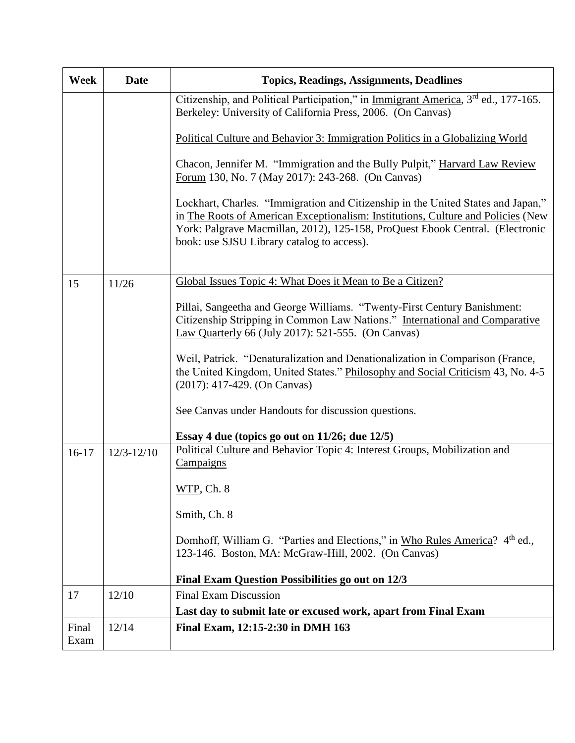| <b>Week</b>   | <b>Date</b>    | <b>Topics, Readings, Assignments, Deadlines</b>                                                                                                                                                                                                                                                     |
|---------------|----------------|-----------------------------------------------------------------------------------------------------------------------------------------------------------------------------------------------------------------------------------------------------------------------------------------------------|
|               |                | Citizenship, and Political Participation," in Immigrant America, 3rd ed., 177-165.<br>Berkeley: University of California Press, 2006. (On Canvas)                                                                                                                                                   |
|               |                | Political Culture and Behavior 3: Immigration Politics in a Globalizing World                                                                                                                                                                                                                       |
|               |                | Chacon, Jennifer M. "Immigration and the Bully Pulpit," Harvard Law Review<br>Forum 130, No. 7 (May 2017): 243-268. (On Canvas)                                                                                                                                                                     |
|               |                | Lockhart, Charles. "Immigration and Citizenship in the United States and Japan,"<br>in The Roots of American Exceptionalism: Institutions, Culture and Policies (New<br>York: Palgrave Macmillan, 2012), 125-158, ProQuest Ebook Central. (Electronic<br>book: use SJSU Library catalog to access). |
| 15            | 11/26          | Global Issues Topic 4: What Does it Mean to Be a Citizen?                                                                                                                                                                                                                                           |
|               |                | Pillai, Sangeetha and George Williams. "Twenty-First Century Banishment:<br>Citizenship Stripping in Common Law Nations." International and Comparative<br>Law Quarterly 66 (July 2017): 521-555. (On Canvas)                                                                                       |
|               |                | Weil, Patrick. "Denaturalization and Denationalization in Comparison (France,<br>the United Kingdom, United States." Philosophy and Social Criticism 43, No. 4-5<br>$(2017): 417-429.$ (On Canvas)                                                                                                  |
|               |                | See Canvas under Handouts for discussion questions.                                                                                                                                                                                                                                                 |
|               |                | Essay 4 due (topics go out on 11/26; due 12/5)                                                                                                                                                                                                                                                      |
| $16-17$       | $12/3 - 12/10$ | Political Culture and Behavior Topic 4: Interest Groups, Mobilization and<br>Campaigns                                                                                                                                                                                                              |
|               |                | WTP, Ch. 8                                                                                                                                                                                                                                                                                          |
|               |                | Smith, Ch. 8                                                                                                                                                                                                                                                                                        |
|               |                | Domhoff, William G. "Parties and Elections," in Who Rules America? 4th ed.,<br>123-146. Boston, MA: McGraw-Hill, 2002. (On Canvas)                                                                                                                                                                  |
|               |                | Final Exam Question Possibilities go out on 12/3                                                                                                                                                                                                                                                    |
| 17            | 12/10          | <b>Final Exam Discussion</b>                                                                                                                                                                                                                                                                        |
|               |                | Last day to submit late or excused work, apart from Final Exam                                                                                                                                                                                                                                      |
| Final<br>Exam | 12/14          | Final Exam, 12:15-2:30 in DMH 163                                                                                                                                                                                                                                                                   |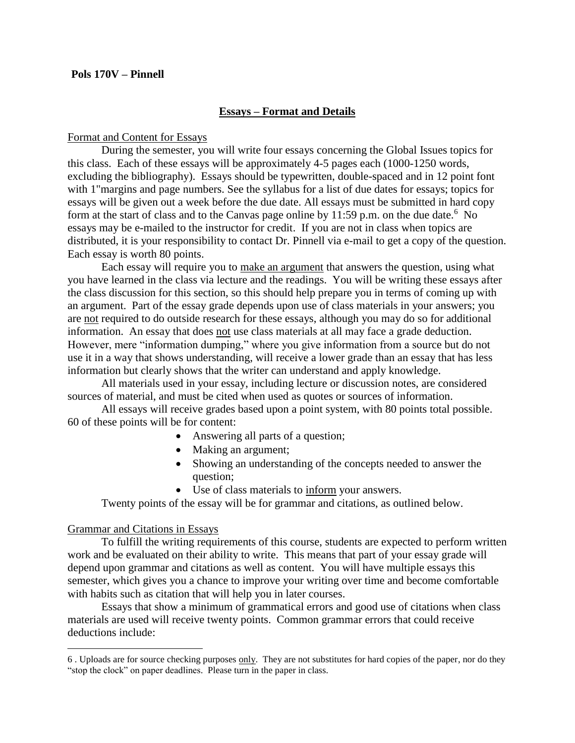#### **Pols 170V – Pinnell**

#### **Essays – Format and Details**

#### Format and Content for Essays

During the semester, you will write four essays concerning the Global Issues topics for this class. Each of these essays will be approximately 4-5 pages each (1000-1250 words, excluding the bibliography). Essays should be typewritten, double-spaced and in 12 point font with 1"margins and page numbers. See the syllabus for a list of due dates for essays; topics for essays will be given out a week before the due date. All essays must be submitted in hard copy form at the start of class and to the Canvas page online by 11:59 p.m. on the due date.<sup>6</sup> No essays may be e-mailed to the instructor for credit. If you are not in class when topics are distributed, it is your responsibility to contact Dr. Pinnell via e-mail to get a copy of the question. Each essay is worth 80 points.

Each essay will require you to make an argument that answers the question, using what you have learned in the class via lecture and the readings. You will be writing these essays after the class discussion for this section, so this should help prepare you in terms of coming up with an argument. Part of the essay grade depends upon use of class materials in your answers; you are not required to do outside research for these essays, although you may do so for additional information. An essay that does not use class materials at all may face a grade deduction. However, mere "information dumping," where you give information from a source but do not use it in a way that shows understanding, will receive a lower grade than an essay that has less information but clearly shows that the writer can understand and apply knowledge.

All materials used in your essay, including lecture or discussion notes, are considered sources of material, and must be cited when used as quotes or sources of information.

All essays will receive grades based upon a point system, with 80 points total possible. 60 of these points will be for content:

- Answering all parts of a question;
- Making an argument;
- Showing an understanding of the concepts needed to answer the question;
- Use of class materials to inform your answers.

#### Twenty points of the essay will be for grammar and citations, as outlined below.

#### Grammar and Citations in Essays

 $\overline{a}$ 

To fulfill the writing requirements of this course, students are expected to perform written work and be evaluated on their ability to write. This means that part of your essay grade will depend upon grammar and citations as well as content. You will have multiple essays this semester, which gives you a chance to improve your writing over time and become comfortable with habits such as citation that will help you in later courses.

Essays that show a minimum of grammatical errors and good use of citations when class materials are used will receive twenty points. Common grammar errors that could receive deductions include:

<sup>6</sup> . Uploads are for source checking purposes only. They are not substitutes for hard copies of the paper, nor do they "stop the clock" on paper deadlines. Please turn in the paper in class.